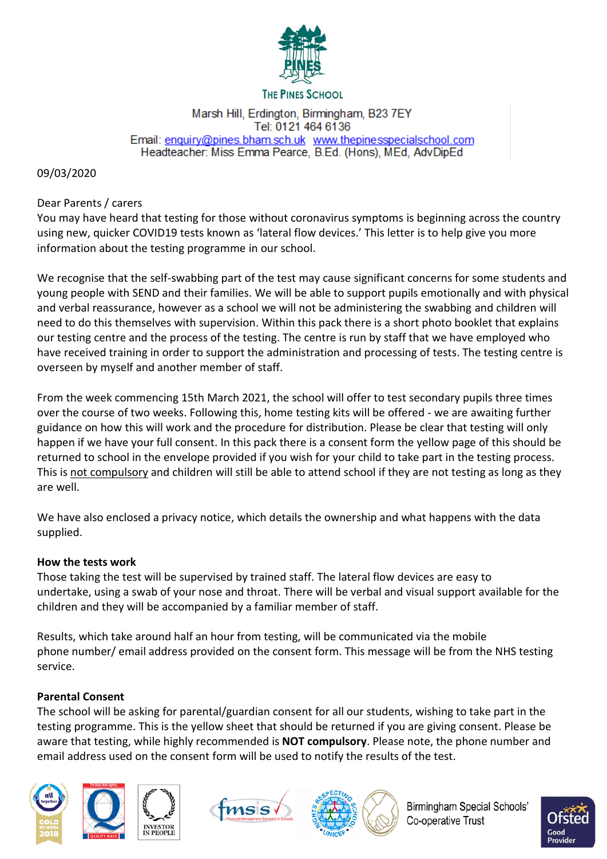

#### **THE PINES SCHOOL**

#### Marsh Hill, Erdington, Birmingham, B23 7EY Tel: 0121 464 6136 Email: enquiry@pines.bham.sch.uk www.thepinesspecialschool.com Headteacher: Miss Emma Pearce, B.Ed. (Hons), MEd, AdvDipEd

#### 09/03/2020

### Dear Parents / carers

You may have heard that testing for those without coronavirus symptoms is beginning across the country using new, quicker COVID19 tests known as 'lateral flow devices.' This letter is to help give you more information about the testing programme in our school.

We recognise that the self-swabbing part of the test may cause significant concerns for some students and young people with SEND and their families. We will be able to support pupils emotionally and with physical and verbal reassurance, however as a school we will not be administering the swabbing and children will need to do this themselves with supervision. Within this pack there is a short photo booklet that explains our testing centre and the process of the testing. The centre is run by staff that we have employed who have received training in order to support the administration and processing of tests. The testing centre is overseen by myself and another member of staff.

From the week commencing 15th March 2021, the school will offer to test secondary pupils three times over the course of two weeks. Following this, home testing kits will be offered - we are awaiting further guidance on how this will work and the procedure for distribution. Please be clear that testing will only happen if we have your full consent. In this pack there is a consent form the yellow page of this should be returned to school in the envelope provided if you wish for your child to take part in the testing process. This is not compulsory and children will still be able to attend school if they are not testing as long as they are well.

We have also enclosed a privacy notice, which details the ownership and what happens with the data supplied.

## **How the tests work**

Those taking the test will be supervised by trained staff. The lateral flow devices are easy to undertake, using a swab of your nose and throat. There will be verbal and visual support available for the children and they will be accompanied by a familiar member of staff.

Results, which take around half an hour from testing, will be communicated via the mobile phone number/ email address provided on the consent form. This message will be from the NHS testing service.

## **Parental Consent**

The school will be asking for parental/guardian consent for all our students, wishing to take part in the testing programme. This is the yellow sheet that should be returned if you are giving consent. Please be aware that testing, while highly recommended is **NOT compulsory**. Please note, the phone number and email address used on the consent form will be used to notify the results of the test.









Birmingham Special Schools' Co-operative Trust